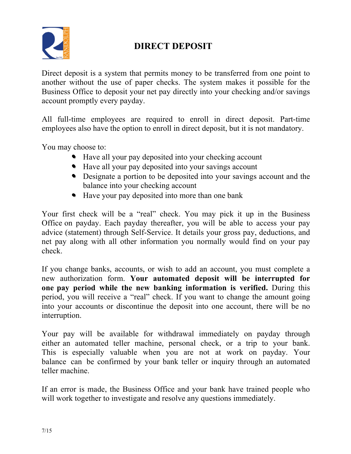

## **DIRECT DEPOSIT**

Direct deposit is a system that permits money to be transferred from one point to another without the use of paper checks. The system makes it possible for the Business Office to deposit your net pay directly into your checking and/or savings account promptly every payday.

All full-time employees are required to enroll in direct deposit. Part-time employees also have the option to enroll in direct deposit, but it is not mandatory.

You may choose to:

- Have all your pay deposited into your checking account
- Have all your pay deposited into your savings account
- Designate a portion to be deposited into your savings account and the balance into your checking account
- Have your pay deposited into more than one bank

Your first check will be a "real" check. You may pick it up in the Business Office on payday. Each payday thereafter, you will be able to access your pay advice (statement) through Self-Service. It details your gross pay, deductions, and net pay along with all other information you normally would find on your pay check.

If you change banks, accounts, or wish to add an account, you must complete a new authorization form. **Your automated deposit will be interrupted for one pay period while the new banking information is verified.** During this period, you will receive a "real" check. If you want to change the amount going into your accounts or discontinue the deposit into one account, there will be no interruption.

Your pay will be available for withdrawal immediately on payday through either an automated teller machine, personal check, or a trip to your bank. This is especially valuable when you are not at work on payday. Your balance can be confirmed by your bank teller or inquiry through an automated teller machine.

If an error is made, the Business Office and your bank have trained people who will work together to investigate and resolve any questions immediately.